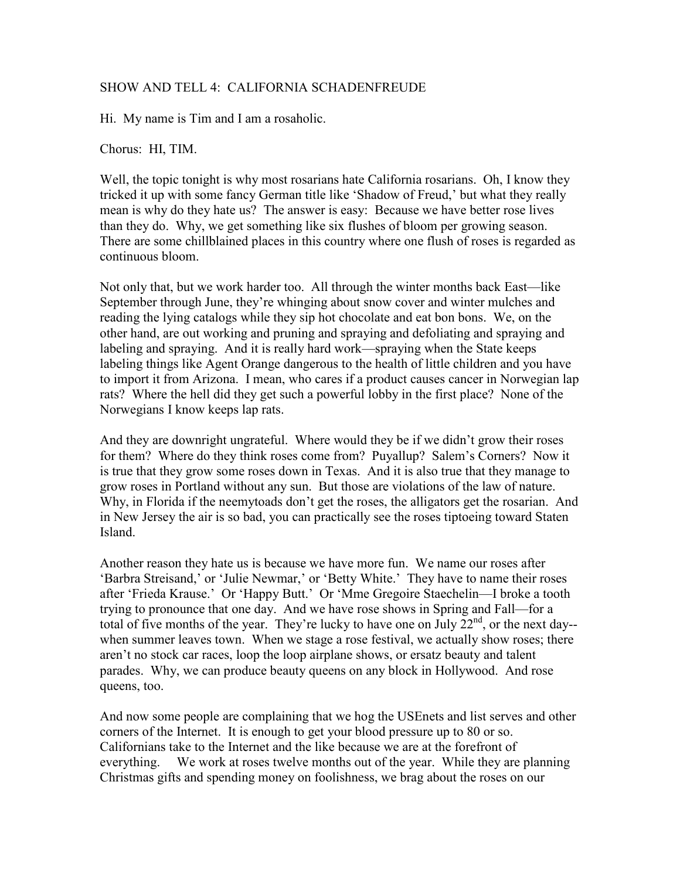## SHOW AND TELL 4: CALIFORNIA SCHADENFREUDE

Hi. My name is Tim and I am a rosaholic.

Chorus: HI, TIM.

Well, the topic tonight is why most rosarians hate California rosarians. Oh, I know they tricked it up with some fancy German title like 'Shadow of Freud,' but what they really mean is why do they hate us? The answer is easy: Because we have better rose lives than they do. Why, we get something like six flushes of bloom per growing season. There are some chillblained places in this country where one flush of roses is regarded as continuous bloom.

Not only that, but we work harder too. All through the winter months back East—like September through June, they're whinging about snow cover and winter mulches and reading the lying catalogs while they sip hot chocolate and eat bon bons. We, on the other hand, are out working and pruning and spraying and defoliating and spraying and labeling and spraying. And it is really hard work—spraying when the State keeps labeling things like Agent Orange dangerous to the health of little children and you have to import it from Arizona. I mean, who cares if a product causes cancer in Norwegian lap rats? Where the hell did they get such a powerful lobby in the first place? None of the Norwegians I know keeps lap rats.

And they are downright ungrateful. Where would they be if we didn't grow their roses for them? Where do they think roses come from? Puyallup? Salem's Corners? Now it is true that they grow some roses down in Texas. And it is also true that they manage to grow roses in Portland without any sun. But those are violations of the law of nature. Why, in Florida if the neemytoads don't get the roses, the alligators get the rosarian. And in New Jersey the air is so bad, you can practically see the roses tiptoeing toward Staten Island.

Another reason they hate us is because we have more fun. We name our roses after 'Barbra Streisand,' or 'Julie Newmar,' or 'Betty White.' They have to name their roses after 'Frieda Krause.' Or 'Happy Butt.' Or 'Mme Gregoire Staechelin—I broke a tooth trying to pronounce that one day. And we have rose shows in Spring and Fall—for a total of five months of the year. They're lucky to have one on July  $22<sup>nd</sup>$ , or the next day-when summer leaves town. When we stage a rose festival, we actually show roses; there aren't no stock car races, loop the loop airplane shows, or ersatz beauty and talent parades. Why, we can produce beauty queens on any block in Hollywood. And rose queens, too.

And now some people are complaining that we hog the USEnets and list serves and other corners of the Internet. It is enough to get your blood pressure up to 80 or so. Californians take to the Internet and the like because we are at the forefront of everything. We work at roses twelve months out of the year. While they are planning Christmas gifts and spending money on foolishness, we brag about the roses on our